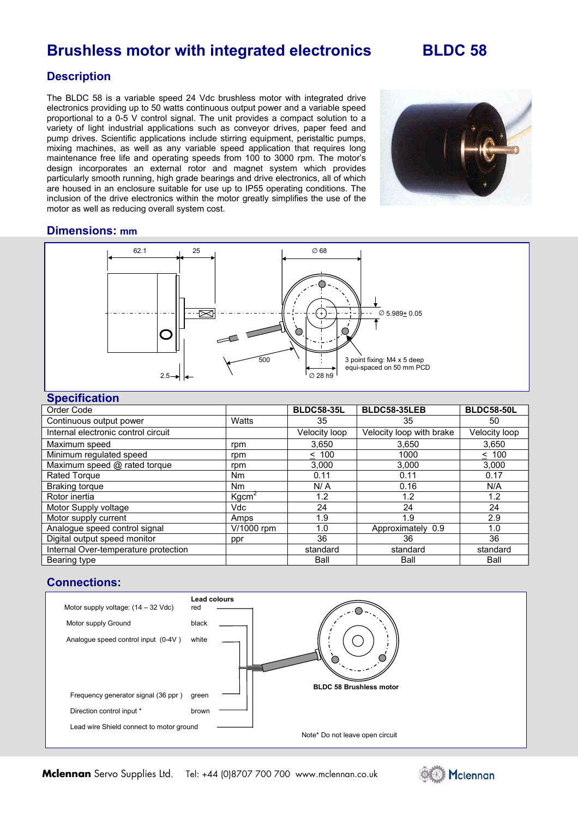## **Brushless motor with integrated electronics BLDC 58**

## **Description**

The BLDC 58 is a variable speed 24 Vdc brushless motor with integrated drive electronics providing up to 50 watts continuous output power and a variable speed proportional to a 0-5 V control signal. The unit provides a compact solution to a variety of light industrial applications such as conveyor drives, paper feed and pump drives. Scientific applications include stirring equipment, peristaltic pumps, mixing machines, as well as any variable speed application that requires long maintenance free life and operating speeds from 100 to 3000 rpm. The motor's design incorporates an external rotor and magnet system which provides particularly smooth running, high grade bearings and drive electronics, all of which are housed in an enclosure suitable for use up to IP55 operating conditions. The inclusion of the drive electronics within the motor greatly simplifies the use of the motor as well as reducing overall system cost.



#### **Dimensions: mm**



#### **Specification**

| Order Code                           |                   | <b>BLDC58-35L</b>    | <b>BLDC58-35LEB</b>      | <b>BLDC58-50L</b> |
|--------------------------------------|-------------------|----------------------|--------------------------|-------------------|
| Continuous output power              | Watts             | 35                   | 35                       | 50                |
| Internal electronic control circuit  |                   | <b>Velocity loop</b> | Velocity loop with brake | Velocity loop     |
| Maximum speed                        | rpm               | 3,650                | 3,650                    | 3,650             |
| Minimum regulated speed              | rpm               | $\leq 100$           | 1000                     | $\leq 100$        |
| Maximum speed @ rated torque         | rpm               | 3,000                | 3,000                    | 3,000             |
| Rated Torque                         | N <sub>m</sub>    | 0.11                 | 0.11                     | 0.17              |
| Braking torque                       | N <sub>m</sub>    | N/A                  | 0.16                     | N/A               |
| Rotor inertia                        | Kgcm <sup>2</sup> | 1.2                  | 1.2                      | 1.2               |
| Motor Supply voltage                 | Vdc               | 24                   | 24                       | 24                |
| Motor supply current                 | Amps              | 1.9                  | 1.9                      | 2.9               |
| Analogue speed control signal        | V/1000 rpm        | 1.0                  | Approximately 0.9        | 1.0               |
| Digital output speed monitor         | ppr               | 36                   | 36                       | 36                |
| Internal Over-temperature protection |                   | standard             | standard                 | standard          |
| Bearing type                         |                   | Ball                 | Ball                     | Ball              |

### **Connections:**